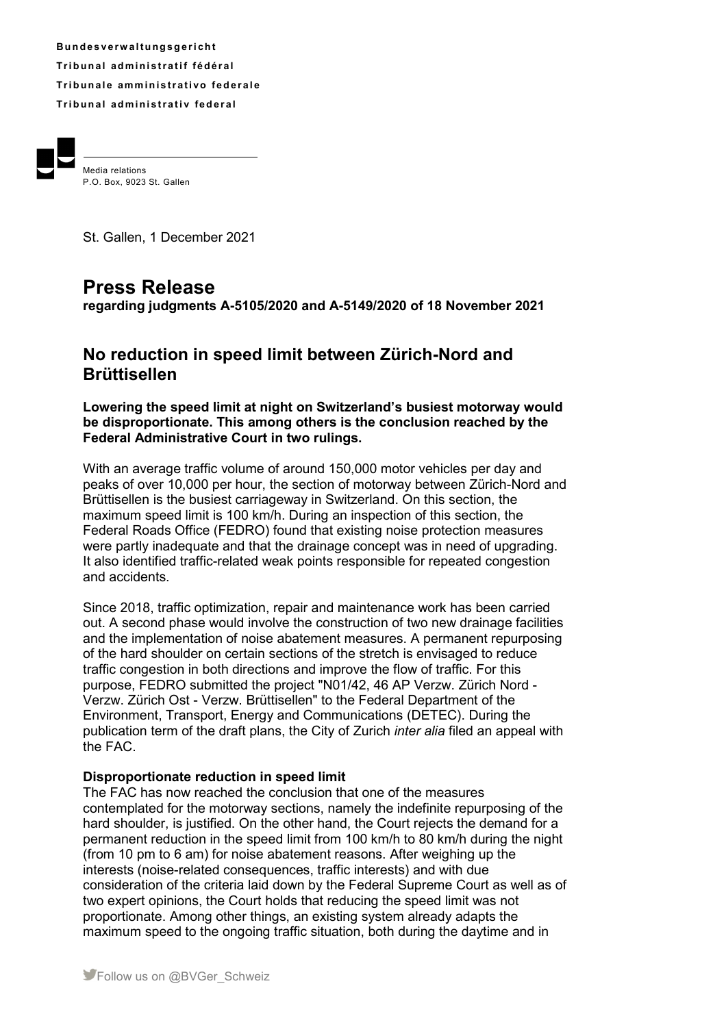**B u n d e s v e rw a l t u ng s g e r i ch t Tr i b u n a l ad m i ni s t r a t i f f éd é r a l Tribunale amministrativo federale Tribunal administrativ federal** 



Media relations P.O. Box, 9023 St. Gallen

St. Gallen, 1 December 2021

## **Press Release**

**regarding judgments A-5105/2020 and A-5149/2020 of 18 November 2021** 

## **No reduction in speed limit between Zürich-Nord and Brüttisellen**

**Lowering the speed limit at night on Switzerland's busiest motorway would be disproportionate. This among others is the conclusion reached by the Federal Administrative Court in two rulings.** 

With an average traffic volume of around 150,000 motor vehicles per day and peaks of over 10,000 per hour, the section of motorway between Zürich-Nord and Brüttisellen is the busiest carriageway in Switzerland. On this section, the maximum speed limit is 100 km/h. During an inspection of this section, the Federal Roads Office (FEDRO) found that existing noise protection measures were partly inadequate and that the drainage concept was in need of upgrading. It also identified traffic-related weak points responsible for repeated congestion and accidents.

Since 2018, traffic optimization, repair and maintenance work has been carried out. A second phase would involve the construction of two new drainage facilities and the implementation of noise abatement measures. A permanent repurposing of the hard shoulder on certain sections of the stretch is envisaged to reduce traffic congestion in both directions and improve the flow of traffic. For this purpose, FEDRO submitted the project "N01/42, 46 AP Verzw. Zürich Nord - Verzw. Zürich Ost - Verzw. Brüttisellen" to the Federal Department of the Environment, Transport, Energy and Communications (DETEC). During the publication term of the draft plans, the City of Zurich *inter alia* filed an appeal with the FAC.

## **Disproportionate reduction in speed limit**

The FAC has now reached the conclusion that one of the measures contemplated for the motorway sections, namely the indefinite repurposing of the hard shoulder, is justified. On the other hand, the Court rejects the demand for a permanent reduction in the speed limit from 100 km/h to 80 km/h during the night (from 10 pm to 6 am) for noise abatement reasons. After weighing up the interests (noise-related consequences, traffic interests) and with due consideration of the criteria laid down by the Federal Supreme Court as well as of two expert opinions, the Court holds that reducing the speed limit was not proportionate. Among other things, an existing system already adapts the maximum speed to the ongoing traffic situation, both during the daytime and in